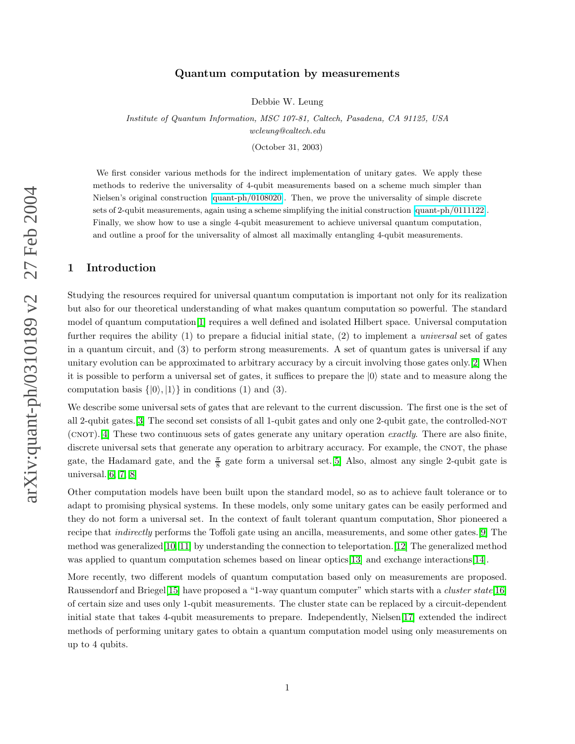# arXiv:quant-ph/0310189 v2 27 Feb 2004 arXiv:quant-ph/0310189 v2 27 Feb 2004

# Quantum computation by measurements

Debbie W. Leung

Institute of Quantum Information, MSC 107-81, Caltech, Pasadena, CA 91125, USA wcleung@caltech.edu

(October 31, 2003)

We first consider various methods for the indirect implementation of unitary gates. We apply these methods to rederive the universality of 4-qubit measurements based on a scheme much simpler than Nielsen's original construction [\[quant-ph/0108020\]](http://arxiv.org/abs/quant-ph/0108020). Then, we prove the universality of simple discrete sets of 2-qubit measurements, again using a scheme simplifying the initial construction [\[quant-ph/0111122\]](http://arxiv.org/abs/quant-ph/0111122). Finally, we show how to use a single 4-qubit measurement to achieve universal quantum computation, and outline a proof for the universality of almost all maximally entangling 4-qubit measurements.

# 1 Introduction

Studying the resources required for universal quantum computation is important not only for its realization but also for our theoretical understanding of what makes quantum computation so powerful. The standard model of quantum computation[\[1\]](#page-8-0) requires a well defined and isolated Hilbert space. Universal computation further requires the ability (1) to prepare a fiducial initial state, (2) to implement a universal set of gates in a quantum circuit, and (3) to perform strong measurements. A set of quantum gates is universal if any unitary evolution can be approximated to arbitrary accuracy by a circuit involving those gates only.[\[2\]](#page-8-1) When it is possible to perform a universal set of gates, it suffices to prepare the  $|0\rangle$  state and to measure along the computation basis  $\{|0\rangle, |1\rangle\}$  in conditions (1) and (3).

We describe some universal sets of gates that are relevant to the current discussion. The first one is the set of all 2-qubit gates.[\[3\]](#page-8-2) The second set consists of all 1-qubit gates and only one 2-qubit gate, the controlled-not (CNOT).[\[4\]](#page-8-3) These two continuous sets of gates generate any unitary operation exactly. There are also finite, discrete universal sets that generate any operation to arbitrary accuracy. For example, the CNOT, the phase gate, the Hadamard gate, and the  $\frac{\pi}{8}$  gate form a universal set.[\[5\]](#page-8-4) Also, almost any single 2-qubit gate is universal. $[6, 7, 8]$  $[6, 7, 8]$  $[6, 7, 8]$ 

Other computation models have been built upon the standard model, so as to achieve fault tolerance or to adapt to promising physical systems. In these models, only some unitary gates can be easily performed and they do not form a universal set. In the context of fault tolerant quantum computation, Shor pioneered a recipe that indirectly performs the Toffoli gate using an ancilla, measurements, and some other gates.[\[9\]](#page-8-8) The method was generalized[\[10,](#page-8-9) [11\]](#page-8-10) by understanding the connection to teleportation.[\[12\]](#page-8-11) The generalized method was applied to quantum computation schemes based on linear optics[\[13\]](#page-8-12) and exchange interactions[\[14\]](#page-8-13).

More recently, two different models of quantum computation based only on measurements are proposed. Raussendorf and Briegel<sup>[\[15\]](#page-8-14)</sup> have proposed a "1-way quantum computer" which starts with a *cluster state*<sup>[\[16\]](#page-8-15)</sup> of certain size and uses only 1-qubit measurements. The cluster state can be replaced by a circuit-dependent initial state that takes 4-qubit measurements to prepare. Independently, Nielsen[\[17\]](#page-8-16) extended the indirect methods of performing unitary gates to obtain a quantum computation model using only measurements on up to 4 qubits.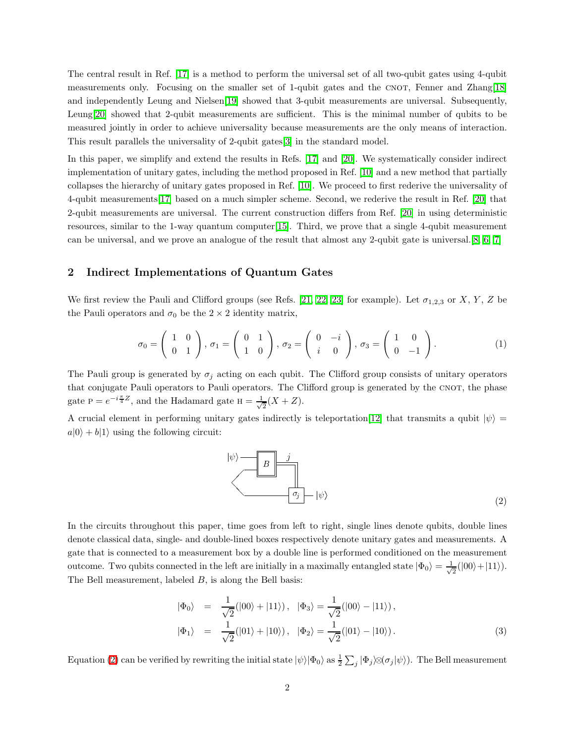The central result in Ref. [\[17\]](#page-8-16) is a method to perform the universal set of all two-qubit gates using 4-qubit measurements only. Focusing on the smaller set of 1-qubit gates and the CNOT, Fenner and Zhang[\[18\]](#page-9-0) and independently Leung and Nielsen[\[19\]](#page-9-1) showed that 3-qubit measurements are universal. Subsequently, Leung[\[20\]](#page-9-2) showed that 2-qubit measurements are sufficient. This is the minimal number of qubits to be measured jointly in order to achieve universality because measurements are the only means of interaction. This result parallels the universality of 2-qubit gates[\[3\]](#page-8-2) in the standard model.

In this paper, we simplify and extend the results in Refs. [\[17\]](#page-8-16) and [\[20\]](#page-9-2). We systematically consider indirect implementation of unitary gates, including the method proposed in Ref. [\[10\]](#page-8-9) and a new method that partially collapses the hierarchy of unitary gates proposed in Ref. [\[10\]](#page-8-9). We proceed to first rederive the universality of 4-qubit measurements[\[17\]](#page-8-16) based on a much simpler scheme. Second, we rederive the result in Ref. [\[20\]](#page-9-2) that 2-qubit measurements are universal. The current construction differs from Ref. [\[20\]](#page-9-2) in using deterministic resources, similar to the 1-way quantum computer[\[15\]](#page-8-14). Third, we prove that a single 4-qubit measurement can be universal, and we prove an analogue of the result that almost any 2-qubit gate is universal.[\[8,](#page-8-7) [6,](#page-8-5) [7\]](#page-8-6)

# 2 Indirect Implementations of Quantum Gates

We first review the Pauli and Clifford groups (see Refs. [\[21,](#page-9-3) [22,](#page-9-4) [23\]](#page-9-5) for example). Let  $\sigma_{1,2,3}$  or X, Y, Z be the Pauli operators and  $\sigma_0$  be the 2 × 2 identity matrix,

$$
\sigma_0 = \begin{pmatrix} 1 & 0 \\ 0 & 1 \end{pmatrix}, \sigma_1 = \begin{pmatrix} 0 & 1 \\ 1 & 0 \end{pmatrix}, \sigma_2 = \begin{pmatrix} 0 & -i \\ i & 0 \end{pmatrix}, \sigma_3 = \begin{pmatrix} 1 & 0 \\ 0 & -1 \end{pmatrix}.
$$
 (1)

The Pauli group is generated by  $\sigma_i$  acting on each qubit. The Clifford group consists of unitary operators that conjugate Pauli operators to Pauli operators. The Clifford group is generated by the CNOT, the phase gate  $P = e^{-i\frac{\pi}{4}Z}$ , and the Hadamard gate  $H = \frac{1}{\sqrt{2\pi}}$  $\frac{1}{2}(X+Z).$ 

A crucial element in performing unitary gates indirectly is teleportation [\[12\]](#page-8-11) that transmits a qubit  $|\psi\rangle$  =  $a|0\rangle + b|1\rangle$  using the following circuit:

<span id="page-1-0"></span>

In the circuits throughout this paper, time goes from left to right, single lines denote qubits, double lines denote classical data, single- and double-lined boxes respectively denote unitary gates and measurements. A gate that is connected to a measurement box by a double line is performed conditioned on the measurement outcome. Two qubits connected in the left are initially in a maximally entangled state  $|\Phi_0\rangle = \frac{1}{\sqrt{2}}$  $\frac{1}{2}(|00\rangle+|11\rangle).$ The Bell measurement, labeled  $B$ , is along the Bell basis:

$$
\begin{aligned}\n|\Phi_0\rangle &= \frac{1}{\sqrt{2}}(|00\rangle + |11\rangle), \quad |\Phi_3\rangle = \frac{1}{\sqrt{2}}(|00\rangle - |11\rangle), \\
|\Phi_1\rangle &= \frac{1}{\sqrt{2}}(|01\rangle + |10\rangle), \quad |\Phi_2\rangle = \frac{1}{\sqrt{2}}(|01\rangle - |10\rangle).\n\end{aligned} \tag{3}
$$

Equation [\(2\)](#page-1-0) can be verified by rewriting the initial state  $|\psi\rangle|\Phi_0\rangle$  as  $\frac{1}{2}\sum_j|\Phi_j\rangle\!\otimes\!(\sigma_j|\psi\rangle)$ . The Bell measurement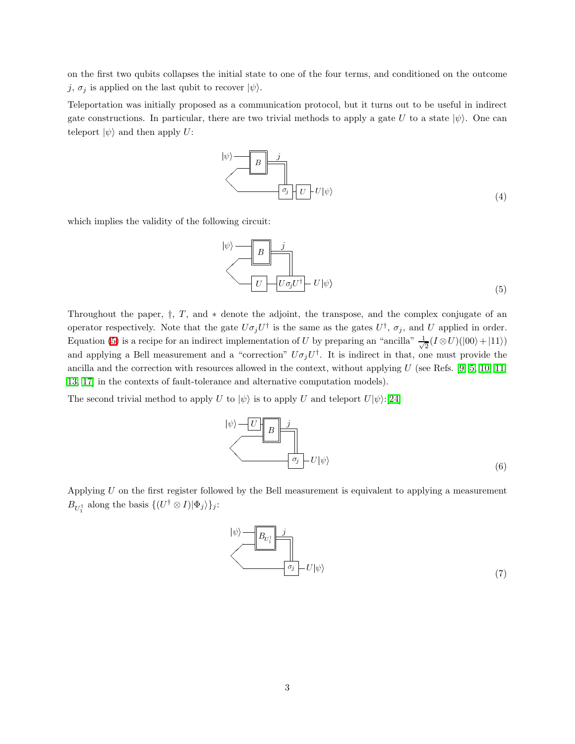on the first two qubits collapses the initial state to one of the four terms, and conditioned on the outcome j,  $\sigma_i$  is applied on the last qubit to recover  $|\psi\rangle$ .

Teleportation was initially proposed as a communication protocol, but it turns out to be useful in indirect gate constructions. In particular, there are two trivial methods to apply a gate U to a state  $|\psi\rangle$ . One can teleport  $|\psi\rangle$  and then apply U:

$$
|\psi\rangle = \boxed{B}
$$
  

$$
\sigma_j
$$
  

$$
\sigma_j
$$
  

$$
|U - U|\psi\rangle
$$
 (4)

which implies the validity of the following circuit:

<span id="page-2-0"></span>
$$
|\psi\rangle = \boxed{B}
$$
  

$$
U
$$
  

$$
U \rightarrow U\sigma_j U^{\dagger} \rightarrow U|\psi\rangle
$$
 (5)

Throughout the paper, †, T, and ∗ denote the adjoint, the transpose, and the complex conjugate of an operator respectively. Note that the gate  $U\sigma_j U^{\dagger}$  is the same as the gates  $U^{\dagger}$ ,  $\sigma_j$ , and U applied in order. Equation [\(5\)](#page-2-0) is a recipe for an indirect implementation of U by preparing an "ancilla"  $\frac{1}{\sqrt{2}}$  $\frac{1}{2}(I \otimes U)(|00\rangle + |11\rangle)$ and applying a Bell measurement and a "correction"  $U\sigma_j U^{\dagger}$ . It is indirect in that, one must provide the ancilla and the correction with resources allowed in the context, without applying U (see Refs. [\[9,](#page-8-8) [5,](#page-8-4) [10,](#page-8-9) [11,](#page-8-10) [13,](#page-8-12) [17\]](#page-8-16) in the contexts of fault-tolerance and alternative computation models).

The second trivial method to apply U to  $|\psi\rangle$  is to apply U and teleport  $U|\psi\rangle$ :[\[24\]](#page-9-6)



Applying  $U$  on the first register followed by the Bell measurement is equivalent to applying a measurement  $B_{U_1^{\dagger}}$  along the basis  $\{(U^{\dagger} \otimes I)|\Phi_j\rangle\}_j$ :

<span id="page-2-1"></span>
$$
|\psi\rangle = B_{U_1^{\dagger}} \frac{j}{\sigma_j} - U|\psi\rangle \tag{7}
$$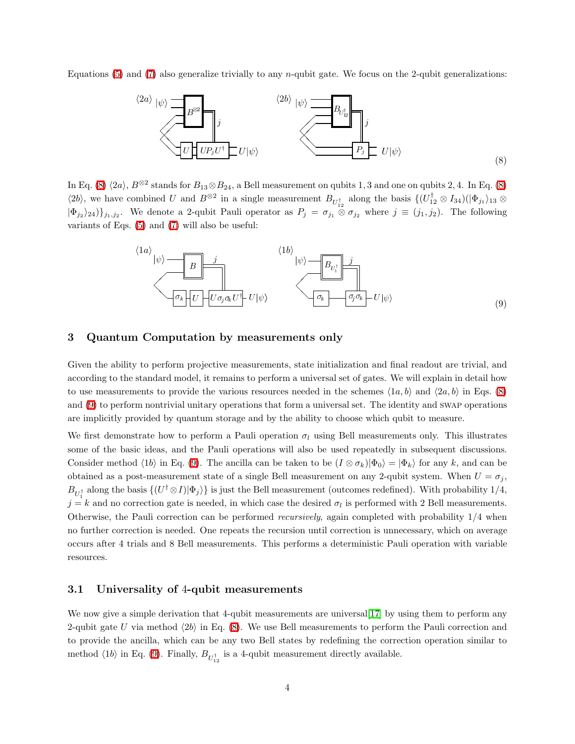Equations [\(5\)](#page-2-0) and [\(7\)](#page-2-1) also generalize trivially to any *n*-qubit gate. We focus on the 2-qubit generalizations:



<span id="page-3-0"></span>In Eq. [\(8\)](#page-3-0)  $\langle 2a \rangle$ ,  $B^{\otimes 2}$  stands for  $B_{13} \otimes B_{24}$ , a Bell measurement on qubits 1, 3 and one on qubits 2, 4. In Eq. (8)  $\langle 2b \rangle$ , we have combined U and  $B^{\otimes 2}$  in a single measurement  $B_{U_{12}^{\dagger}}$  along the basis  $\{ (U_{12}^{\dagger} \otimes I_{34})(|\Phi_{j_1}\rangle_{13} \otimes I_{34} \otimes I_{34} \otimes I_{34} \otimes I_{34} \otimes I_{34} \otimes I_{34} \otimes I_{34} \otimes I_{34} \otimes I_{34} \otimes I_{34} \otimes I_{34$  $|\Phi_{j_2}\rangle_{24}\rangle_{j_1,j_2}$ . We denote a 2-qubit Pauli operator as  $P_j = \sigma_{j_1} \otimes \sigma_{j_2}$  where  $j \equiv (j_1,j_2)$ . The following variants of Eqs. [\(5\)](#page-2-0) and [\(7\)](#page-2-1) will also be useful:



# <span id="page-3-1"></span>3 Quantum Computation by measurements only

Given the ability to perform projective measurements, state initialization and final readout are trivial, and according to the standard model, it remains to perform a universal set of gates. We will explain in detail how to use measurements to provide the various resources needed in the schemes  $\langle 1a, b \rangle$  and  $\langle 2a, b \rangle$  in Eqs. [\(8\)](#page-3-0) and [\(9\)](#page-3-1) to perform nontrivial unitary operations that form a universal set. The identity and swap operations are implicitly provided by quantum storage and by the ability to choose which qubit to measure.

We first demonstrate how to perform a Pauli operation  $\sigma_l$  using Bell measurements only. This illustrates some of the basic ideas, and the Pauli operations will also be used repeatedly in subsequent discussions. Consider method  $\langle 1b \rangle$  in Eq. [\(9\)](#page-3-1). The ancilla can be taken to be  $(I \otimes \sigma_k)|\Phi_0\rangle = |\Phi_k\rangle$  for any k, and can be obtained as a post-measurement state of a single Bell measurement on any 2-qubit system. When  $U = \sigma_j$ ,  $B_{U_1^{\dagger}}$  along the basis  $\{(U^{\dagger} \otimes I)|\Phi_j\rangle\}$  is just the Bell measurement (outcomes redefined). With probability 1/4,  $j = k$  and no correction gate is needed, in which case the desired  $\sigma_l$  is performed with 2 Bell measurements. Otherwise, the Pauli correction can be performed recursively, again completed with probability 1/4 when no further correction is needed. One repeats the recursion until correction is unnecessary, which on average occurs after 4 trials and 8 Bell measurements. This performs a deterministic Pauli operation with variable resources.

### 3.1 Universality of 4-qubit measurements

We now give a simple derivation that 4-qubit measurements are universal [\[17\]](#page-8-16) by using them to perform any 2-qubit gate U via method  $\langle 2b \rangle$  in Eq. [\(8\)](#page-3-0). We use Bell measurements to perform the Pauli correction and to provide the ancilla, which can be any two Bell states by redefining the correction operation similar to method  $\langle 1b \rangle$  in Eq. [\(9\)](#page-3-1). Finally,  $B_{U_{12}^{\dagger}}$  is a 4-qubit measurement directly available.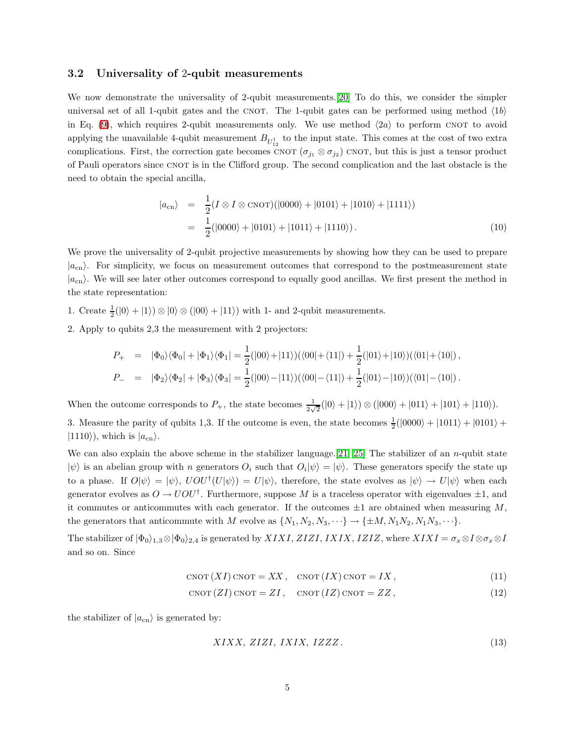### 3.2 Universality of 2-qubit measurements

We now demonstrate the universality of 2-qubit measurements.[\[20\]](#page-9-2) To do this, we consider the simpler universal set of all 1-qubit gates and the CNOT. The 1-qubit gates can be performed using method  $\langle 1b \rangle$ in Eq. [\(9\)](#page-3-1), which requires 2-qubit measurements only. We use method  $\langle 2a \rangle$  to perform CNOT to avoid applying the unavailable 4-qubit measurement  $B_{U_{12}^{\dagger}}$  to the input state. This comes at the cost of two extra complications. First, the correction gate becomes CNOT  $(\sigma_{j_1} \otimes \sigma_{j_2})$  CNOT, but this is just a tensor product of Pauli operators since CNOT is in the Clifford group. The second complication and the last obstacle is the need to obtain the special ancilla,

$$
|a_{\rm cn}\rangle = \frac{1}{2}(I \otimes I \otimes \text{CNOT})(|0000\rangle + |0101\rangle + |1010\rangle + |1111\rangle)
$$
  
=  $\frac{1}{2}(|0000\rangle + |0101\rangle + |1011\rangle + |1110\rangle).$  (10)

We prove the universality of 2-qubit projective measurements by showing how they can be used to prepare  $|a_{\rm cn}\rangle$ . For simplicity, we focus on measurement outcomes that correspond to the postmeasurement state  $|a_{\text{cn}}\rangle$ . We will see later other outcomes correspond to equally good ancillas. We first present the method in the state representation:

1. Create  $\frac{1}{2}(|0\rangle + |1\rangle) \otimes |0\rangle \otimes (|00\rangle + |11\rangle)$  with 1- and 2-qubit measurements.

2. Apply to qubits 2,3 the measurement with 2 projectors:

$$
P_{+} = |\Phi_{0}\rangle\langle\Phi_{0}| + |\Phi_{1}\rangle\langle\Phi_{1}| = \frac{1}{2}(|00\rangle + |11\rangle)(\langle00| + \langle11|) + \frac{1}{2}(|01\rangle + |10\rangle)(\langle01| + \langle10|),
$$
  
\n
$$
P_{-} = |\Phi_{2}\rangle\langle\Phi_{2}| + |\Phi_{3}\rangle\langle\Phi_{3}| = \frac{1}{2}(|00\rangle - |11\rangle)(\langle00| - \langle11|) + \frac{1}{2}(|01\rangle - |10\rangle)(\langle01| - \langle10|).
$$

When the outcome corresponds to  $P_+$ , the state becomes  $\frac{1}{2\sqrt{2}}(|0\rangle + |1\rangle) \otimes (|000\rangle + |011\rangle + |101\rangle + |110\rangle)$ .

3. Measure the parity of qubits 1,3. If the outcome is even, the state becomes  $\frac{1}{2}(|0000\rangle + |1011\rangle + |0101\rangle +$  $|1110\rangle$ , which is  $|a_{cn}\rangle$ .

We can also explain the above scheme in the stabilizer language. [\[21,](#page-9-3) [25\]](#page-9-7) The stabilizer of an n-qubit state  $|\psi\rangle$  is an abelian group with n generators  $O_i$  such that  $O_i|\psi\rangle = |\psi\rangle$ . These generators specify the state up to a phase. If  $O|\psi\rangle = |\psi\rangle$ ,  $UOU^{\dagger}(U|\psi\rangle) = U|\psi\rangle$ , therefore, the state evolves as  $|\psi\rangle \to U|\psi\rangle$  when each generator evolves as  $O \to UOU^{\dagger}$ . Furthermore, suppose M is a traceless operator with eigenvalues  $\pm 1$ , and it commutes or anticommutes with each generator. If the outcomes  $\pm 1$  are obtained when measuring M, the generators that anticommute with M evolve as  $\{N_1, N_2, N_3, \dots\} \to \{\pm M, N_1N_2, N_1N_3, \dots\}.$ 

The stabilizer of  $|\Phi_0\rangle_{1,3} \otimes |\Phi_0\rangle_{2,4}$  is generated by  $XIXI$ ,  $ZIZI$ ,  $IXIX$ ,  $IZIZ$ , where  $XIXI = \sigma_x \otimes I \otimes \sigma_x \otimes I$ and so on. Since

$$
CNOT (XI) CNOT = XX, \quad CNOT (IX) CNOT = IX,
$$
\n(11)

<span id="page-4-0"></span>
$$
CNOT (ZI) CNOT = ZI, \quad CNOT (IZ) CNOT = ZZ,
$$
\n(12)

the stabilizer of  $|a_{\rm cn}\rangle$  is generated by:

$$
XIXX, ZIZI, IXIX, IZZZ.
$$
\n
$$
(13)
$$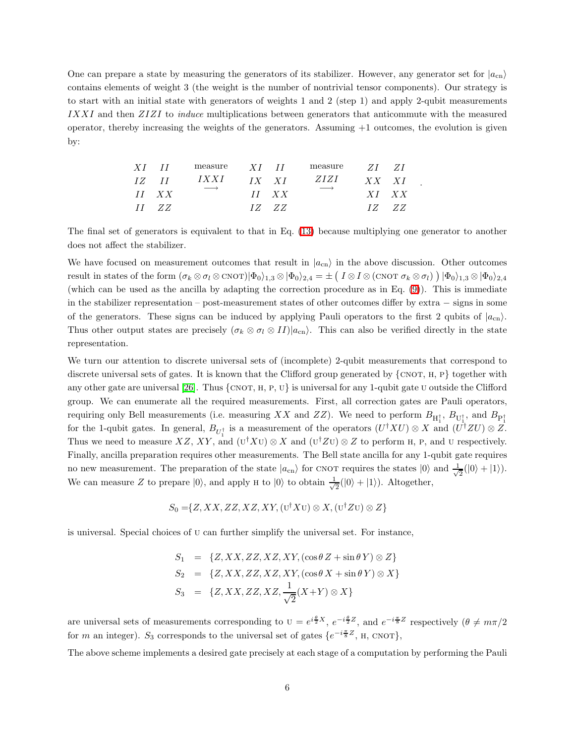One can prepare a state by measuring the generators of its stabilizer. However, any generator set for  $|a_{cn}\rangle$ contains elements of weight 3 (the weight is the number of nontrivial tensor components). Our strategy is to start with an initial state with generators of weights 1 and 2 (step 1) and apply 2-qubit measurements IXXI and then ZIZI to induce multiplications between generators that anticommute with the measured operator, thereby increasing the weights of the generators. Assuming  $+1$  outcomes, the evolution is given by:

| $XI$ $II$    | measure                   | $XI$ $II$ |              | measure                   | - <i>ZI</i> - <i>ZI</i> |  |
|--------------|---------------------------|-----------|--------------|---------------------------|-------------------------|--|
| <i>IZ II</i> | IXXI<br>$\longrightarrow$ | $IX$ $XI$ |              | ZIZI<br>$\longrightarrow$ | $XX$ $XI$               |  |
| $II$ $XX$    |                           |           | $II$ $XX$    |                           | $X1$ $XX$               |  |
| $II$ $ZZ$    |                           |           | <i>IZ ZZ</i> |                           | <i>17. ZZ</i>           |  |

The final set of generators is equivalent to that in Eq. [\(13\)](#page-4-0) because multiplying one generator to another does not affect the stabilizer.

.

We have focused on measurement outcomes that result in  $|a_{cn}\rangle$  in the above discussion. Other outcomes result in states of the form  $(\sigma_k \otimes \sigma_l \otimes \text{CNOT})|\Phi_0\rangle_{1,3} \otimes |\Phi_0\rangle_{2,4} = \pm \left( \begin{array}{cc} I \otimes I \otimes (\text{CNOT} \; \sigma_k \otimes \sigma_l) \end{array} \right) |\Phi_0\rangle_{1,3} \otimes |\Phi_0\rangle_{2,4}$ (which can be used as the ancilla by adapting the correction procedure as in Eq. [\(9\)](#page-3-1)). This is immediate in the stabilizer representation – post-measurement states of other outcomes differ by extra − signs in some of the generators. These signs can be induced by applying Pauli operators to the first 2 qubits of  $|a_{cn}\rangle$ . Thus other output states are precisely  $(\sigma_k \otimes \sigma_l \otimes II)|a_{cn}\rangle$ . This can also be verified directly in the state representation.

We turn our attention to discrete universal sets of (incomplete) 2-qubit measurements that correspond to discrete universal sets of gates. It is known that the Clifford group generated by  $\{\text{CNOT}, H, P\}$  together with any other gate are universal [\[26\]](#page-9-8). Thus  $\{\text{CNOT}, H, P, U\}$  is universal for any 1-qubit gate U outside the Clifford group. We can enumerate all the required measurements. First, all correction gates are Pauli operators, requiring only Bell measurements (i.e. measuring XX and ZZ). We need to perform  $B_{H_1^{\dagger}}, B_{U_1^{\dagger}},$  and  $B_{P_1^{\dagger}}$ for the 1-qubit gates. In general,  $B_{U_1^{\dagger}}$  is a measurement of the operators  $(U^{\dagger}XU) \otimes X$  and  $(U^{\dagger}ZU) \otimes Z$ . Thus we need to measure  $XZ$ ,  $XY$ , and  $(\mathbf{U}^{\dagger} X \mathbf{U}) \otimes X$  and  $(\mathbf{U}^{\dagger} Z \mathbf{U}) \otimes Z$  to perform H, P, and U respectively. Finally, ancilla preparation requires other measurements. The Bell state ancilla for any 1-qubit gate requires no new measurement. The preparation of the state  $|a_{cn}\rangle$  for CNOT requires the states  $|0\rangle$  and  $\frac{1}{\sqrt{2}}$  $\frac{1}{2}(|0\rangle + |1\rangle).$ We can measure Z to prepare  $|0\rangle$ , and apply H to  $|0\rangle$  to obtain  $\frac{1}{\sqrt{\pi}}$  $\frac{1}{2}(|0\rangle + |1\rangle)$ . Altogether,

$$
S_0 = \{Z, XX, ZZ, XZ, XY, (U^{\dagger} X U) \otimes X, (U^{\dagger} Z U) \otimes Z\}
$$

is universal. Special choices of u can further simplify the universal set. For instance,

$$
S_1 = \{Z, XX, ZZ, XZ, XY, (\cos \theta Z + \sin \theta Y) \otimes Z\}
$$
  
\n
$$
S_2 = \{Z, XX, ZZ, XZ, XY, (\cos \theta X + \sin \theta Y) \otimes X\}
$$
  
\n
$$
S_3 = \{Z, XX, ZZ, XZ, \frac{1}{\sqrt{2}}(X+Y) \otimes X\}
$$

are universal sets of measurements corresponding to  $U = e^{i\frac{\theta}{2}X}$ ,  $e^{-i\frac{\theta}{2}Z}$ , and  $e^{-i\frac{\pi}{8}Z}$  respectively  $(\theta \neq m\pi/2)$ for m an integer). S<sub>3</sub> corresponds to the universal set of gates  $\{e^{-i\frac{\pi}{8}Z}, \text{ H, CNOT}\},$ 

The above scheme implements a desired gate precisely at each stage of a computation by performing the Pauli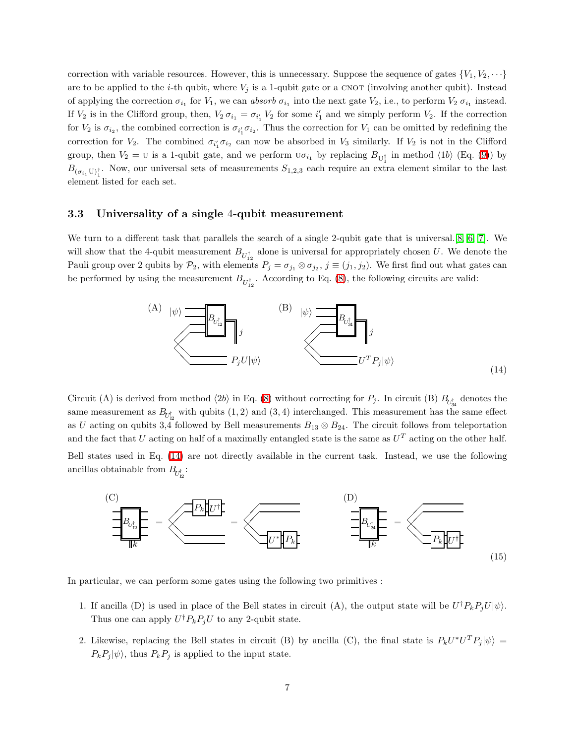correction with variable resources. However, this is unnecessary. Suppose the sequence of gates  $\{V_1, V_2, \dots\}$ are to be applied to the *i*-th qubit, where  $V_j$  is a 1-qubit gate or a CNOT (involving another qubit). Instead of applying the correction  $\sigma_{i_1}$  for  $V_1$ , we can absorb  $\sigma_{i_1}$  into the next gate  $V_2$ , i.e., to perform  $V_2 \sigma_{i_1}$  instead. If  $V_2$  is in the Clifford group, then,  $V_2 \sigma_{i_1} = \sigma_{i'_1} V_2$  for some  $i'_1$  and we simply perform  $V_2$ . If the correction for  $V_2$  is  $\sigma_{i_2}$ , the combined correction is  $\sigma_{i'_1}\sigma_{i_2}$ . Thus the correction for  $V_1$  can be omitted by redefining the correction for  $V_2$ . The combined  $\sigma_{i'_1}\sigma_{i_2}$  can now be absorbed in  $V_3$  similarly. If  $V_2$  is not in the Clifford group, then  $V_2 = U$  is a 1-qubit gate, and we perform  $U\sigma_{i_1}$  by replacing  $B_{U_1^{\dagger}}$  in method  $\langle 1b \rangle$  (Eq. [\(9\)](#page-3-1)) by  $B_{(\sigma_{i_1}U)^{\dagger}_{1}}$ . Now, our universal sets of measurements  $S_{1,2,3}$  each require an extra element similar to the last element listed for each set.

### 3.3 Universality of a single 4-qubit measurement

We turn to a different task that parallels the search of a single 2-qubit gate that is universal.[\[8,](#page-8-7) [6,](#page-8-5) [7\]](#page-8-6). We will show that the 4-qubit measurement  $B_{U_{12}^{\dagger}}$  alone is universal for appropriately chosen U. We denote the Pauli group over 2 qubits by  $\mathcal{P}_2$ , with elements  $P_j = \sigma_{j_1} \otimes \sigma_{j_2}$ ,  $j \equiv (j_1, j_2)$ . We first find out what gates can be performed by using the measurement  $B_{U_{12}^{\dagger}}$ . According to Eq. [\(8\)](#page-3-0), the following circuits are valid:



<span id="page-6-0"></span>Circuit (A) is derived from method  $\langle 2b \rangle$  in Eq. [\(8\)](#page-3-0) without correcting for  $P_j$ . In circuit (B)  $B_{U_{34}^{\dagger}}$  denotes the same measurement as  $B_{\!U_{12}^{\dagger}}$  with qubits  $(1,2)$  and  $(3,4)$  interchanged. This measurement has the same effect as U acting on qubits 3,4 followed by Bell measurements  $B_{13} \otimes B_{24}$ . The circuit follows from teleportation and the fact that U acting on half of a maximally entangled state is the same as  $U<sup>T</sup>$  acting on the other half.

Bell states used in Eq. [\(14\)](#page-6-0) are not directly available in the current task. Instead, we use the following ancillas obtainable from  $B_{U_{12}^{\dagger}}$ :



In particular, we can perform some gates using the following two primitives :

- 1. If ancilla (D) is used in place of the Bell states in circuit (A), the output state will be  $U^{\dagger}P_kP_jU|\psi\rangle$ . Thus one can apply  $U^{\dagger}P_kP_jU$  to any 2-qubit state.
- 2. Likewise, replacing the Bell states in circuit (B) by ancilla (C), the final state is  $P_kU^*U^TP_j|\psi\rangle =$  $P_kP_j |\psi\rangle$ , thus  $P_kP_j$  is applied to the input state.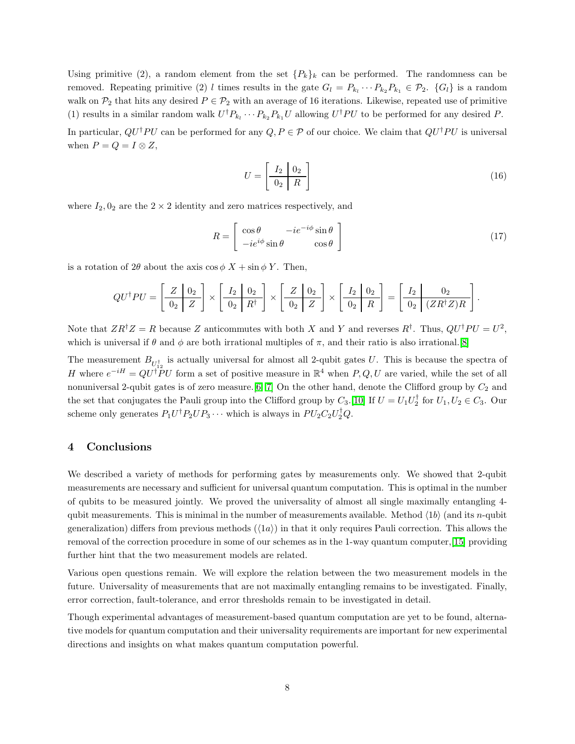Using primitive (2), a random element from the set  $\{P_k\}_k$  can be performed. The randomness can be removed. Repeating primitive (2) l times results in the gate  $G_l = P_{k_l} \cdots P_{k_2} P_{k_1} \in \mathcal{P}_2$ .  $\{G_l\}$  is a random walk on  $\mathcal{P}_2$  that hits any desired  $P \in \mathcal{P}_2$  with an average of 16 iterations. Likewise, repeated use of primitive (1) results in a similar random walk  $U^{\dagger}P_{k_l}\cdots P_{k_2}P_{k_1}U$  allowing  $U^{\dagger}PU$  to be performed for any desired P.

In particular,  $QU^{\dagger}PU$  can be performed for any  $Q, P \in \mathcal{P}$  of our choice. We claim that  $QU^{\dagger}PU$  is universal when  $P = Q = I \otimes Z$ ,

$$
U = \left[\begin{array}{c|c} I_2 & 0_2 \\ \hline 0_2 & R \end{array}\right] \tag{16}
$$

where  $I_2$ ,  $0_2$  are the  $2 \times 2$  identity and zero matrices respectively, and

$$
R = \begin{bmatrix} \cos \theta & -ie^{-i\phi} \sin \theta \\ -ie^{i\phi} \sin \theta & \cos \theta \end{bmatrix}
$$
 (17)

is a rotation of  $2\theta$  about the axis  $\cos \phi X + \sin \phi Y$ . Then,

$$
QU^{\dagger}PU = \left[\begin{array}{c|c} Z & 0_2 \\ \hline 0_2 & Z \end{array}\right] \times \left[\begin{array}{c|c} I_2 & 0_2 \\ \hline 0_2 & R^{\dagger} \end{array}\right] \times \left[\begin{array}{c|c} Z & 0_2 \\ \hline 0_2 & Z \end{array}\right] \times \left[\begin{array}{c|c} I_2 & 0_2 \\ \hline 0_2 & R \end{array}\right] = \left[\begin{array}{c|c} I_2 & 0_2 \\ \hline 0_2 & (ZR^{\dagger}Z)R \end{array}\right].
$$

Note that  $ZR^{\dagger}Z = R$  because Z anticommutes with both X and Y and reverses  $R^{\dagger}$ . Thus,  $QU^{\dagger}PU = U^2$ , which is universal if  $\theta$  and  $\phi$  are both irrational multiples of  $\pi$ , and their ratio is also irrational.[\[8\]](#page-8-7)

The measurement  $B_{U_{12}^{\dagger}}$  is actually universal for almost all 2-qubit gates U. This is because the spectra of H where  $e^{-iH} = QU^{\dagger}PU$  form a set of positive measure in  $\mathbb{R}^4$  when P, Q, U are varied, while the set of all nonuniversal 2-qubit gates is of zero measure. [\[6,](#page-8-5) [7\]](#page-8-6) On the other hand, denote the Clifford group by  $C_2$  and the set that conjugates the Pauli group into the Clifford group by  $C_3$ . [\[10\]](#page-8-9) If  $U = U_1 U_2^{\dagger}$  for  $U_1, U_2 \in C_3$ . Our scheme only generates  $P_1U^{\dagger}P_2UP_3\cdots$  which is always in  $PU_2C_2U_2^{\dagger}Q$ .

### 4 Conclusions

We described a variety of methods for performing gates by measurements only. We showed that 2-qubit measurements are necessary and sufficient for universal quantum computation. This is optimal in the number of qubits to be measured jointly. We proved the universality of almost all single maximally entangling 4 qubit measurements. This is minimal in the number of measurements available. Method  $\langle 1b \rangle$  (and its n-qubit generalization) differs from previous methods  $(\langle 1a \rangle)$  in that it only requires Pauli correction. This allows the removal of the correction procedure in some of our schemes as in the 1-way quantum computer,[\[15\]](#page-8-14) providing further hint that the two measurement models are related.

Various open questions remain. We will explore the relation between the two measurement models in the future. Universality of measurements that are not maximally entangling remains to be investigated. Finally, error correction, fault-tolerance, and error thresholds remain to be investigated in detail.

Though experimental advantages of measurement-based quantum computation are yet to be found, alternative models for quantum computation and their universality requirements are important for new experimental directions and insights on what makes quantum computation powerful.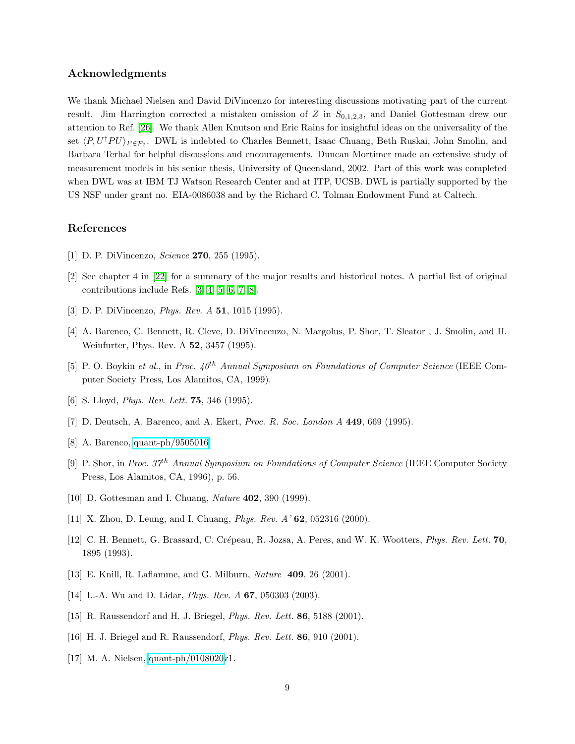# Acknowledgments

We thank Michael Nielsen and David DiVincenzo for interesting discussions motivating part of the current result. Jim Harrington corrected a mistaken omission of Z in  $S_{0,1,2,3}$ , and Daniel Gottesman drew our attention to Ref. [\[26\]](#page-9-8). We thank Allen Knutson and Eric Rains for insightful ideas on the universality of the set  $\langle P, U^{\dagger}P U \rangle_{P \in \mathcal{P}_2}$ . DWL is indebted to Charles Bennett, Isaac Chuang, Beth Ruskai, John Smolin, and Barbara Terhal for helpful discussions and encouragements. Duncan Mortimer made an extensive study of measurement models in his senior thesis, University of Queensland, 2002. Part of this work was completed when DWL was at IBM TJ Watson Research Center and at ITP, UCSB. DWL is partially supported by the US NSF under grant no. EIA-0086038 and by the Richard C. Tolman Endowment Fund at Caltech.

### <span id="page-8-0"></span>References

- <span id="page-8-1"></span>[1] D. P. DiVincenzo, *Science* **270**, 255 (1995).
- <span id="page-8-2"></span>[2] See chapter 4 in [\[22\]](#page-9-4) for a summary of the major results and historical notes. A partial list of original contributions include Refs. [\[3,](#page-8-2) [4,](#page-8-3) [5,](#page-8-4) [6,](#page-8-5) [7,](#page-8-6) [8\]](#page-8-7).
- <span id="page-8-3"></span>[3] D. P. DiVincenzo, *Phys. Rev. A* **51**, 1015 (1995).
- <span id="page-8-4"></span>[4] A. Barenco, C. Bennett, R. Cleve, D. DiVincenzo, N. Margolus, P. Shor, T. Sleator , J. Smolin, and H. Weinfurter, Phys. Rev. A 52, 3457 (1995).
- <span id="page-8-5"></span>[5] P. O. Boykin et al., in Proc.  $40^{th}$  Annual Symposium on Foundations of Computer Science (IEEE Computer Society Press, Los Alamitos, CA, 1999).
- <span id="page-8-6"></span>[6] S. Lloyd, *Phys. Rev. Lett.* **75**, 346 (1995).
- <span id="page-8-7"></span>[7] D. Deutsch, A. Barenco, and A. Ekert, Proc. R. Soc. London A 449, 669 (1995).
- <span id="page-8-8"></span>[8] A. Barenco, [quant-ph/9505016.](http://arxiv.org/abs/quant-ph/9505016)
- [9] P. Shor, in Proc. 37<sup>th</sup> Annual Symposium on Foundations of Computer Science (IEEE Computer Society Press, Los Alamitos, CA, 1996), p. 56.
- <span id="page-8-10"></span><span id="page-8-9"></span>[10] D. Gottesman and I. Chuang, Nature 402, 390 (1999).
- <span id="page-8-11"></span>[11] X. Zhou, D. Leung, and I. Chuang, Phys. Rev. A' 62, 052316 (2000).
- <span id="page-8-12"></span>[12] C. H. Bennett, G. Brassard, C. Crépeau, R. Jozsa, A. Peres, and W. K. Wootters, *Phys. Rev. Lett.* **70**, 1895 (1993).
- <span id="page-8-13"></span>[13] E. Knill, R. Laflamme, and G. Milburn, Nature 409, 26 (2001).
- <span id="page-8-14"></span>[14] L.-A. Wu and D. Lidar, *Phys. Rev. A* **67**, 050303 (2003).
- <span id="page-8-15"></span>[15] R. Raussendorf and H. J. Briegel, Phys. Rev. Lett. 86, 5188 (2001).
- <span id="page-8-16"></span>[16] H. J. Briegel and R. Raussendorf, Phys. Rev. Lett. 86, 910 (2001).
- [17] M. A. Nielsen, [quant-ph/0108020v](http://arxiv.org/abs/quant-ph/0108020)1.